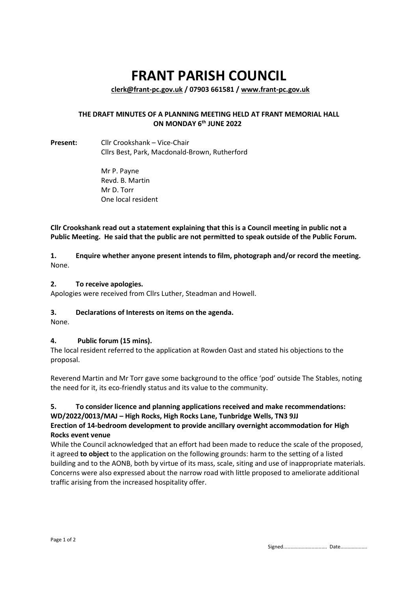# **FRANT PARISH COUNCIL**

**[clerk@frant-pc.gov.uk](mailto:clerk@frant-pc.gov.uk) / 07903 661581 [/ www.frant-pc.gov.uk](http://www.frant-pc.gov.uk/)**

#### **THE DRAFT MINUTES OF A PLANNING MEETING HELD AT FRANT MEMORIAL HALL ON MONDAY 6 th JUNE 2022**

**Present:** Cllr Crookshank – Vice-Chair Cllrs Best, Park, Macdonald-Brown, Rutherford

> Mr P. Payne Revd. B. Martin Mr D. Torr One local resident

**Cllr Crookshank read out a statement explaining that this is a Council meeting in public not a Public Meeting. He said that the public are not permitted to speak outside of the Public Forum.** 

**1. Enquire whether anyone present intends to film, photograph and/or record the meeting.** None.

#### **2. To receive apologies.**

Apologies were received from Cllrs Luther, Steadman and Howell.

#### **3. Declarations of Interests on items on the agenda.**

None.

#### **4. Public forum (15 mins).**

The local resident referred to the application at Rowden Oast and stated his objections to the proposal.

Reverend Martin and Mr Torr gave some background to the office 'pod' outside The Stables, noting the need for it, its eco-friendly status and its value to the community.

#### **5. To consider licence and planning applications received and make recommendations: WD/2022/0013/MAJ – High Rocks, High Rocks Lane, Tunbridge Wells, TN3 9JJ**

#### **Erection of 14-bedroom development to provide ancillary overnight accommodation for High Rocks event venue**

While the Council acknowledged that an effort had been made to reduce the scale of the proposed, it agreed **to object** to the application on the following grounds: harm to the setting of a listed building and to the AONB, both by virtue of its mass, scale, siting and use of inappropriate materials. Concerns were also expressed about the narrow road with little proposed to ameliorate additional traffic arising from the increased hospitality offer.